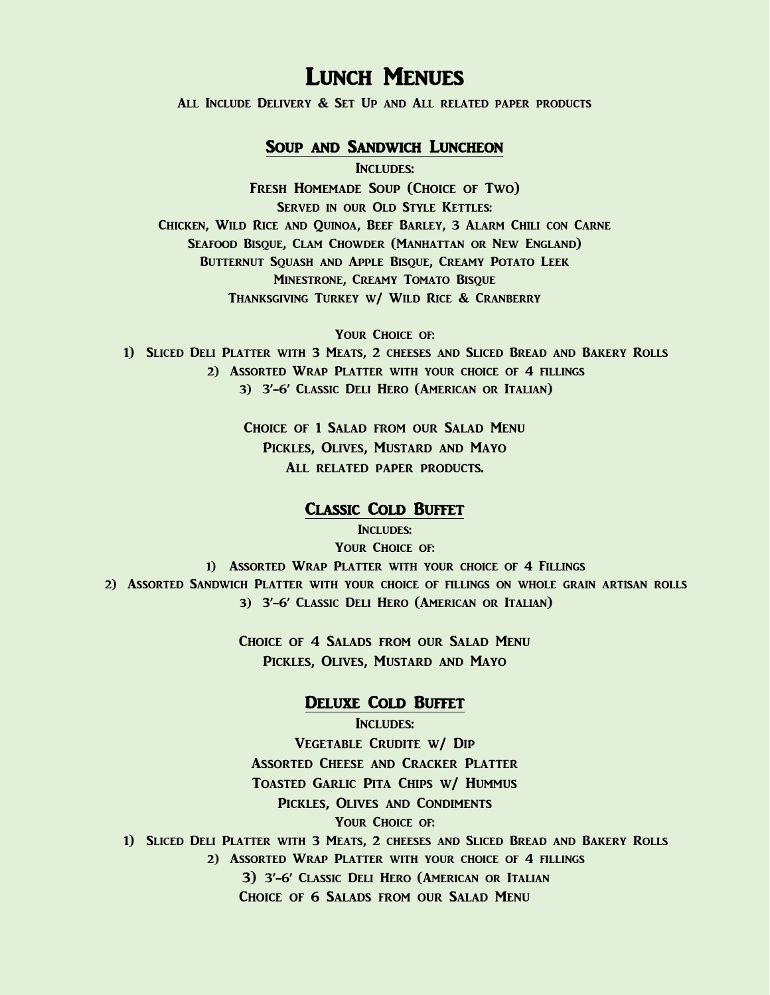## LUNCH MENUES

All Include Delivery & Set Up and All related paper products

## Soup and Sandwich Luncheon

INCLUDES:

Fresh Homemade Soup (Choice of Two) Served in our Old Style Kettles: Chicken, Wild Rice and Quinoa, Beef Barley, 3 Alarm Chili con Carne Seafood Bisque, Clam Chowder (Manhattan or New England) Butternut Squash and Apple Bisque, Creamy Potato Leek Minestrone, Creamy Tomato Bisque Thanksgiving Turkey w/ Wild Rice & Cranberry

YOUR CHOICE OF: 1) Sliced Deli Platter with 3 Meats, 2 cheeses and Sliced Bread and Bakery Rolls 2) Assorted Wrap Platter with your choice of 4 fillings 3) 3'-6' Classic Deli Hero (American or Italian)

> Choice of 1 Salad from our Salad Menu Pickles, Olives, Mustard and Mayo All related paper products.

#### Classic Cold Buffet

INCLUDES: YOUR CHOICE OF: 1) ASSORTED WRAP PLATTER WITH YOUR CHOICE OF 4 FILLINGS 2) Assorted Sandwich Platter with your choice of fillings on whole grain artisan rolls 3) 3'-6' Classic Deli Hero (American or Italian)

> Choice of 4 Salads from our Salad Menu Pickles, Olives, Mustard and Mayo

## Deluxe Cold Buffet

Includes: Vegetable Crudite w/ Dip Assorted Cheese and Cracker Platter Toasted Garlic Pita Chips w/ Hummus Pickles, Olives and Condiments YOUR CHOICE OF: 1) Sliced Deli Platter with 3 Meats, 2 cheeses and Sliced Bread and Bakery Rolls 2) Assorted Wrap Platter with your choice of 4 fillings 3) 3'-6' Classic Deli Hero (American or Italian Choice of 6 Salads from our Salad Menu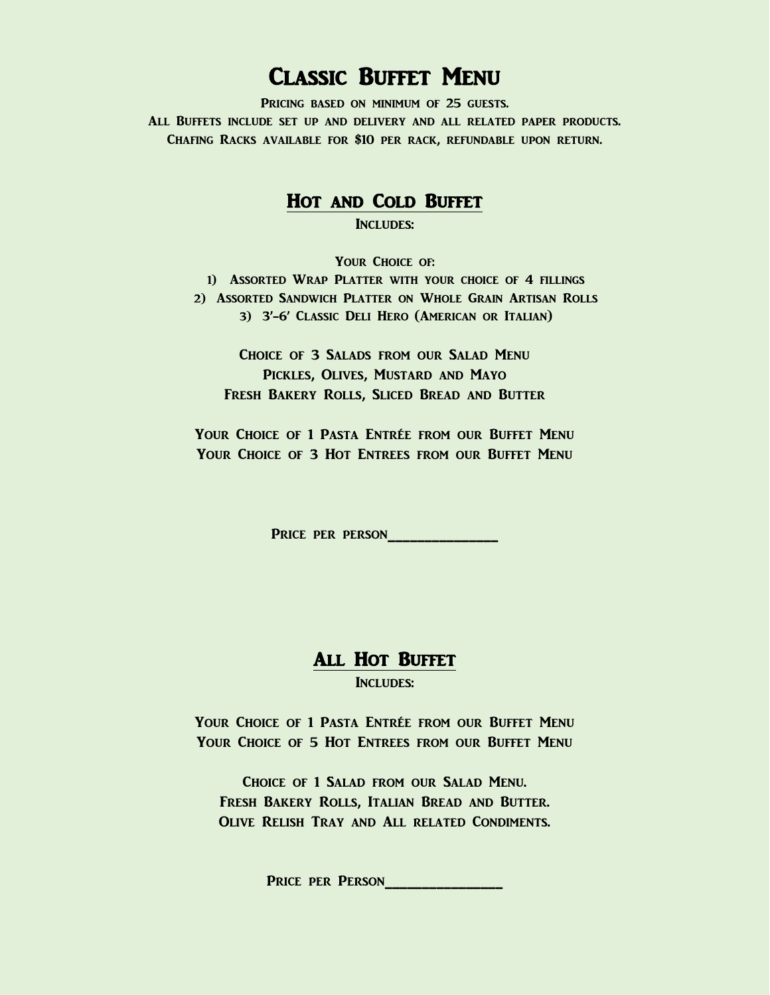# Classic Buffet Menu

PRICING BASED ON MINIMUM OF 25 GUESTS. All Buffets include set up and delivery and all related paper products. Chafing Racks available for \$10 per rack, refundable upon return.

## Hot and Cold Buffet

INCLUDES:

YOUR CHOICE OF: 1) Assorted Wrap Platter with your choice of 4 fillings 2) Assorted Sandwich Platter on Whole Grain Artisan Rolls 3) 3'-6' Classic Deli Hero (American or Italian)

Choice of 3 Salads from our Salad Menu Pickles, Olives, Mustard and Mayo Fresh Bakery Rolls, Sliced Bread and Butter

YOUR CHOICE OF 1 PASTA ENTRÉE FROM OUR BUFFET MENU YOUR CHOICE OF 3 HOT ENTREES FROM OUR BUFFET MENU

Price per person\_\_\_\_\_\_\_\_\_\_\_\_\_\_

## All Hot Buffet

INCLUDES:

YOUR CHOICE OF 1 PASTA ENTRÉE FROM OUR BUFFET MENU YOUR CHOICE OF 5 HOT ENTREES FROM OUR BUFFET MENU

Choice of 1 Salad from our Salad Menu. Fresh Bakery Rolls, Italian Bread and Butter. Olive Relish Tray and All related Condiments.

Price per Person\_\_\_\_\_\_\_\_\_\_\_\_\_\_\_\_